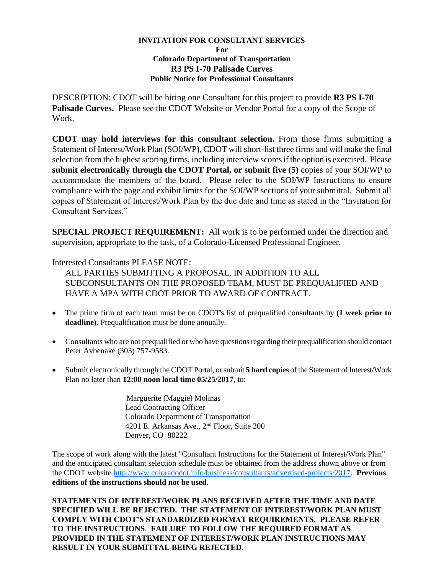## **INVITATION FOR CONSULTANT SERVICES For Colorado Department of Transportation R3 PS I-70 Palisade Curves Public Notice for Professional Consultants**

DESCRIPTION: CDOT will be hiring one Consultant for this project to provide **R3 PS I-70 Palisade Curves.** Please see the CDOT Website or Vendor Portal for a copy of the Scope of Work.

**CDOT may hold interviews for this consultant selection.** From those firms submitting a Statement of Interest/Work Plan (SOI/WP), CDOT will short-list three firms and will make the final selection from the highest scoring firms, including interview scores if the option is exercised. Please **submit electronically through the CDOT Portal, or submit five (5)** copies of your SOI/WP to accommodate the members of the board. Please refer to the SOI/WP Instructions to ensure compliance with the page and exhibit limits for the SOI/WP sections of your submittal. Submit all copies of Statement of Interest/Work Plan by the due date and time as stated in the "Invitation for Consultant Services."

**SPECIAL PROJECT REQUIREMENT:** All work is to be performed under the direction and supervision, appropriate to the task, of a Colorado-Licensed Professional Engineer.

Interested Consultants PLEASE NOTE:

ALL PARTIES SUBMITTING A PROPOSAL, IN ADDITION TO ALL SUBCONSULTANTS ON THE PROPOSED TEAM, MUST BE PREQUALIFIED AND HAVE A MPA WITH CDOT PRIOR TO AWARD OF CONTRACT.

- The prime firm of each team must be on CDOT's list of prequalified consultants by **(1 week prior to deadline).** Prequalification must be done annually.
- Consultants who are not prequalified or who have questions regarding their prequalification should contact Peter Avbenake (303) 757-9583.
- Submit electronically through the CDOT Portal, or submit **5 hard copies** of the Statement of Interest/Work Plan no later than **12:00 noon local time 05/25/2017**, to:

 Marguerite (Maggie) Molinas Lead Contracting Officer Colorado Department of Transportation 4201 E. Arkansas Ave., 2<sup>nd</sup> Floor, Suite 200 Denver, CO 80222

The scope of work along with the latest "Consultant Instructions for the Statement of Interest/Work Plan" and the anticipated consultant selection schedule must be obtained from the address shown above or from the CDOT website http://www.coloradodot.info/business/consultants/advertised-projects/2017. **Previous editions of the instructions should not be used.** 

**STATEMENTS OF INTEREST/WORK PLANS RECEIVED AFTER THE TIME AND DATE SPECIFIED WILL BE REJECTED. THE STATEMENT OF INTEREST/WORK PLAN MUST COMPLY WITH CDOT'S STANDARDIZED FORMAT REQUIREMENTS. PLEASE REFER TO THE INSTRUCTIONS**. **FAILURE TO FOLLOW THE REQUIRED FORMAT AS PROVIDED IN THE STATEMENT OF INTEREST/WORK PLAN INSTRUCTIONS MAY RESULT IN YOUR SUBMITTAL BEING REJECTED.**